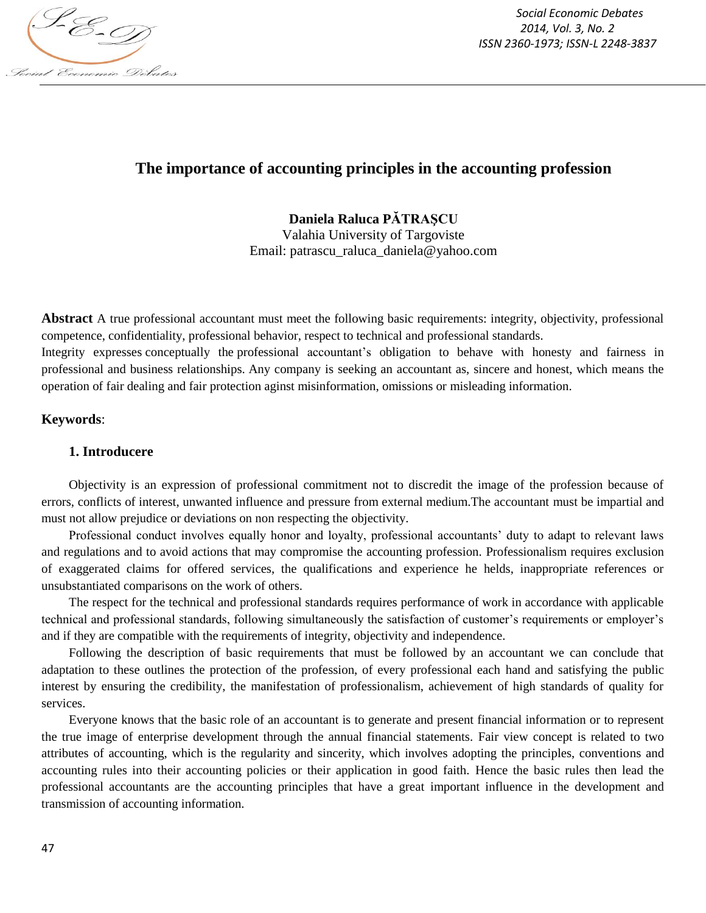

*Social Economic Debates 2014, Vol. 3, No. 2 ISSN 2360-1973; ISSN-L 2248-3837*

# **The importance of accounting principles in the accounting profession**

## **Daniela Raluca PĂTRAŞCU**

Valahia University of Targoviste Email: patrascu\_raluca\_daniela@yahoo.com

**Abstract** A true professional accountant must meet the following basic requirements: integrity, objectivity, professional competence, confidentiality, professional behavior, respect to technical and professional standards.

Integrity expresses conceptually the professional accountant's obligation to behave with honesty and fairness in professional and business relationships. Any company is seeking an accountant as, sincere and honest, which means the operation of fair dealing and fair protection aginst misinformation, omissions or misleading information.

## **Keywords**:

## **1. Introducere**

Objectivity is an expression of professional commitment not to discredit the image of the profession because of errors, conflicts of interest, unwanted influence and pressure from external medium.The accountant must be impartial and must not allow prejudice or deviations on non respecting the objectivity.

Professional conduct involves equally honor and loyalty, professional accountants' duty to adapt to relevant laws and regulations and to avoid actions that may compromise the accounting profession. Professionalism requires exclusion of exaggerated claims for offered services, the qualifications and experience he helds, inappropriate references or unsubstantiated comparisons on the work of others.

The respect for the technical and professional standards requires performance of work in accordance with applicable technical and professional standards, following simultaneously the satisfaction of customer's requirements or employer's and if they are compatible with the requirements of integrity, objectivity and independence.

Following the description of basic requirements that must be followed by an accountant we can conclude that adaptation to these outlines the protection of the profession, of every professional each hand and satisfying the public interest by ensuring the credibility, the manifestation of professionalism, achievement of high standards of quality for services.

Everyone knows that the basic role of an accountant is to generate and present financial information or to represent the true image of enterprise development through the annual financial statements. Fair view concept is related to two attributes of accounting, which is the regularity and sincerity, which involves adopting the principles, conventions and accounting rules into their accounting policies or their application in good faith. Hence the basic rules then lead the professional accountants are the accounting principles that have a great important influence in the development and transmission of accounting information.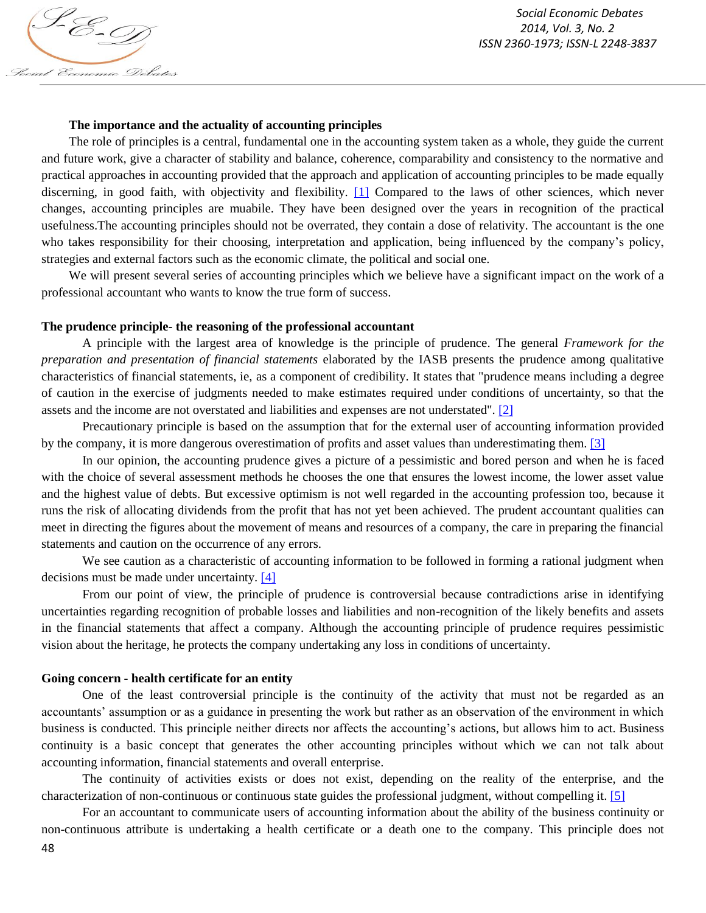S-E-T) Social Economic Debates

### **The importance and the actuality of accounting principles**

The role of principles is a central, fundamental one in the accounting system taken as a whole, they guide the current and future work, give a character of stability and balance, coherence, comparability and consistency to the normative and practical approaches in accounting provided that the approach and application of accounting principles to be made equally discerning, in good faith, with objectivity and flexibility. [1] Compared to the laws of other sciences, which never changes, accounting principles are muabile. They have been designed over the years in recognition of the practical usefulness.The accounting principles should not be overrated, they contain a dose of relativity. The accountant is the one who takes responsibility for their choosing, interpretation and application, being influenced by the company's policy, strategies and external factors such as the economic climate, the political and social one.

We will present several series of accounting principles which we believe have a significant impact on the work of a professional accountant who wants to know the true form of success.

### **The prudence principle- the reasoning of the professional accountant**

A principle with the largest area of knowledge is the principle of prudence. The general *Framework for the preparation and presentation of financial statements* elaborated by the IASB presents the prudence among qualitative characteristics of financial statements, ie, as a component of credibility. It states that "prudence means including a degree of caution in the exercise of judgments needed to make estimates required under conditions of uncertainty, so that the assets and the income are not overstated and liabilities and expenses are not understated". [2]

Precautionary principle is based on the assumption that for the external user of accounting information provided by the company, it is more dangerous overestimation of profits and asset values than underestimating them. [3]

In our opinion, the accounting prudence gives a picture of a pessimistic and bored person and when he is faced with the choice of several assessment methods he chooses the one that ensures the lowest income, the lower asset value and the highest value of debts. But excessive optimism is not well regarded in the accounting profession too, because it runs the risk of allocating dividends from the profit that has not yet been achieved. The prudent accountant qualities can meet in directing the figures about the movement of means and resources of a company, the care in preparing the financial statements and caution on the occurrence of any errors.

We see caution as a characteristic of accounting information to be followed in forming a rational judgment when decisions must be made under uncertainty. [4]

From our point of view, the principle of prudence is controversial because contradictions arise in identifying uncertainties regarding recognition of probable losses and liabilities and non-recognition of the likely benefits and assets in the financial statements that affect a company. Although the accounting principle of prudence requires pessimistic vision about the heritage, he protects the company undertaking any loss in conditions of uncertainty.

## **Going concern - health certificate for an entity**

One of the least controversial principle is the continuity of the activity that must not be regarded as an accountants' assumption or as a guidance in presenting the work but rather as an observation of the environment in which business is conducted. This principle neither directs nor affects the accounting's actions, but allows him to act. Business continuity is a basic concept that generates the other accounting principles without which we can not talk about accounting information, financial statements and overall enterprise.

The continuity of activities exists or does not exist, depending on the reality of the enterprise, and the characterization of non-continuous or continuous state guides the professional judgment, without compelling it. [5]

For an accountant to communicate users of accounting information about the ability of the business continuity or non-continuous attribute is undertaking a health certificate or a death one to the company. This principle does not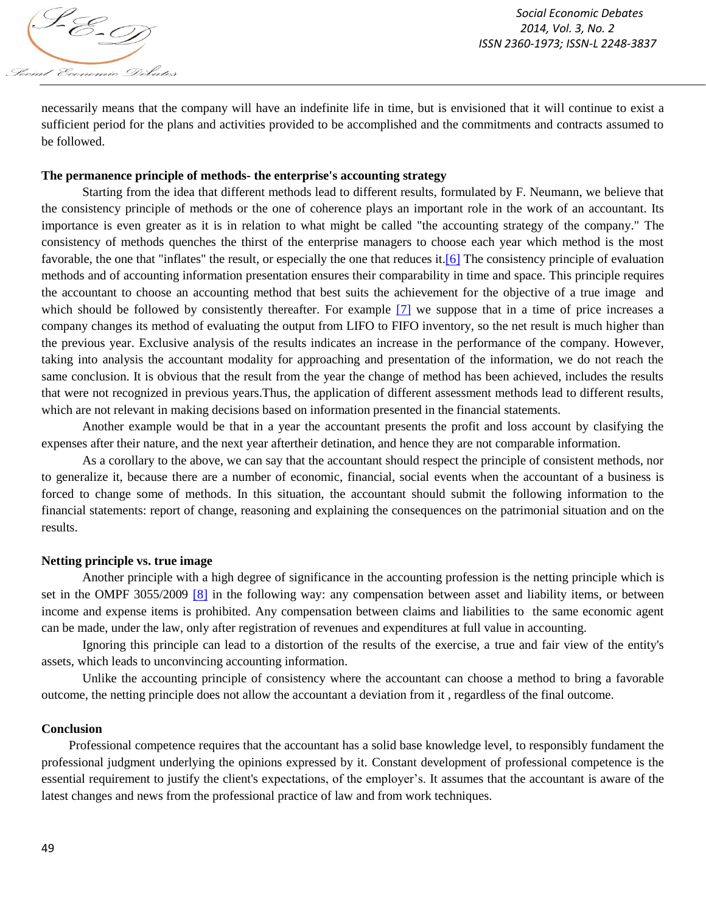

necessarily means that the company will have an indefinite life in time, but is envisioned that it will continue to exist a sufficient period for the plans and activities provided to be accomplished and the commitments and contracts assumed to be followed.

### **The permanence principle of methods- the enterprise's accounting strategy**

Starting from the idea that different methods lead to different results, formulated by F. Neumann, we believe that the consistency principle of methods or the one of coherence plays an important role in the work of an accountant. Its importance is even greater as it is in relation to what might be called "the accounting strategy of the company." The consistency of methods quenches the thirst of the enterprise managers to choose each year which method is the most favorable, the one that "inflates" the result, or especially the one that reduces it.[6] The consistency principle of evaluation methods and of accounting information presentation ensures their comparability in time and space. This principle requires the accountant to choose an accounting method that best suits the achievement for the objective of a true image and which should be followed by consistently thereafter. For example [7] we suppose that in a time of price increases a company changes its method of evaluating the output from LIFO to FIFO inventory, so the net result is much higher than the previous year. Exclusive analysis of the results indicates an increase in the performance of the company. However, taking into analysis the accountant modality for approaching and presentation of the information, we do not reach the same conclusion. It is obvious that the result from the year the change of method has been achieved, includes the results that were not recognized in previous years.Thus, the application of different assessment methods lead to different results, which are not relevant in making decisions based on information presented in the financial statements.

Another example would be that in a year the accountant presents the profit and loss account by clasifying the expenses after their nature, and the next year aftertheir detination, and hence they are not comparable information.

As a corollary to the above, we can say that the accountant should respect the principle of consistent methods, nor to generalize it, because there are a number of economic, financial, social events when the accountant of a business is forced to change some of methods. In this situation, the accountant should submit the following information to the financial statements: report of change, reasoning and explaining the consequences on the patrimonial situation and on the results.

#### **Netting principle vs. true image**

Another principle with a high degree of significance in the accounting profession is the netting principle which is set in the OMPF 3055/2009 [8] in the following way: any compensation between asset and liability items, or between income and expense items is prohibited. Any compensation between claims and liabilities to the same economic agent can be made, under the law, only after registration of revenues and expenditures at full value in accounting.

Ignoring this principle can lead to a distortion of the results of the exercise, a true and fair view of the entity's assets, which leads to unconvincing accounting information.

Unlike the accounting principle of consistency where the accountant can choose a method to bring a favorable outcome, the netting principle does not allow the accountant a deviation from it , regardless of the final outcome.

## **Conclusion**

Professional competence requires that the accountant has a solid base knowledge level, to responsibly fundament the professional judgment underlying the opinions expressed by it. Constant development of professional competence is the essential requirement to justify the client's expectations, of the employer's. It assumes that the accountant is aware of the latest changes and news from the professional practice of law and from work techniques.